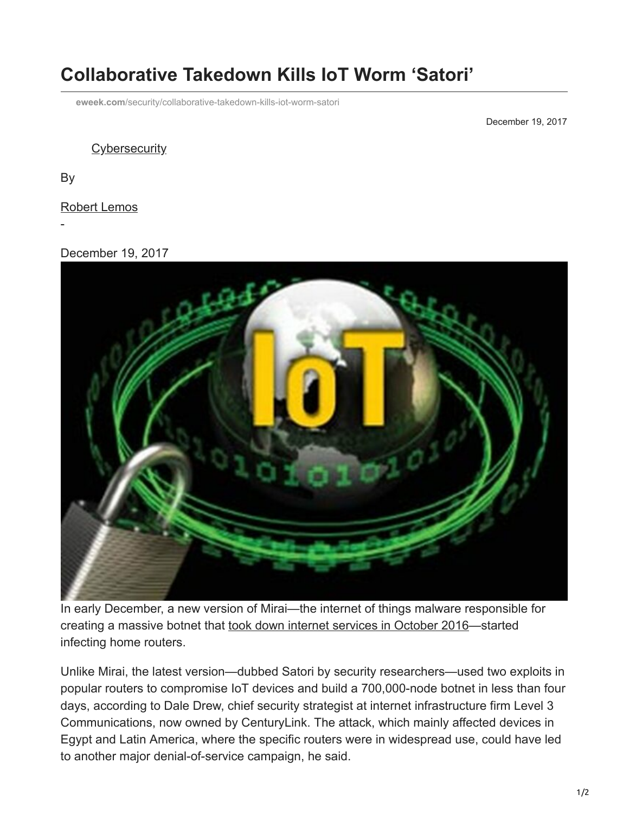## **Collaborative Takedown Kills IoT Worm 'Satori'**

**eweek.com**[/security/collaborative-takedown-kills-iot-worm-satori](http://www.eweek.com/security/collaborative-takedown-kills-iot-worm-satori)

December 19, 2017

**[Cybersecurity](https://www.eweek.com/security/)** 

By

[Robert Lemos](https://www.eweek.com/author/robert-lemos/)

-

## December 19, 2017



In early December, a new version of Mirai—the internet of things malware responsible for creating a massive botnet that [took down internet services in October 2016—](https://www.eweek.com/security/ddos-attack-snarls-friday-morning-internet-traffic)started infecting home routers.

Unlike Mirai, the latest version—dubbed Satori by security researchers—used two exploits in popular routers to compromise IoT devices and build a 700,000-node botnet in less than four days, according to Dale Drew, chief security strategist at internet infrastructure firm Level 3 Communications, now owned by CenturyLink. The attack, which mainly affected devices in Egypt and Latin America, where the specific routers were in widespread use, could have led to another major denial-of-service campaign, he said.